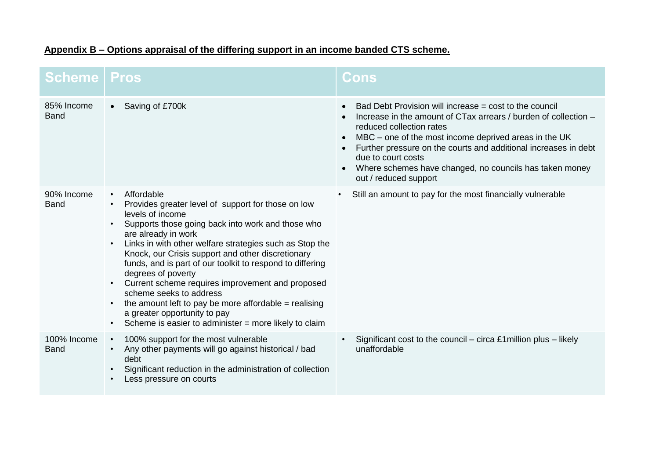| <b>Scheme   Pros</b>       |                                                                                                                                                                                                                                                                                                                                                                                                                                                                                                                                                                                                                     | <b>Cons</b>                                                                                                                                                                                                                                                                                                                                                                                              |
|----------------------------|---------------------------------------------------------------------------------------------------------------------------------------------------------------------------------------------------------------------------------------------------------------------------------------------------------------------------------------------------------------------------------------------------------------------------------------------------------------------------------------------------------------------------------------------------------------------------------------------------------------------|----------------------------------------------------------------------------------------------------------------------------------------------------------------------------------------------------------------------------------------------------------------------------------------------------------------------------------------------------------------------------------------------------------|
| 85% Income<br><b>Band</b>  | Saving of £700k<br>$\bullet$                                                                                                                                                                                                                                                                                                                                                                                                                                                                                                                                                                                        | Bad Debt Provision will increase = cost to the council<br>Increase in the amount of CTax arrears / burden of collection -<br>reduced collection rates<br>MBC – one of the most income deprived areas in the UK<br>$\bullet$<br>Further pressure on the courts and additional increases in debt<br>due to court costs<br>Where schemes have changed, no councils has taken money<br>out / reduced support |
| 90% Income<br><b>Band</b>  | Affordable<br>$\bullet$<br>Provides greater level of support for those on low<br>levels of income<br>Supports those going back into work and those who<br>are already in work<br>Links in with other welfare strategies such as Stop the<br>Knock, our Crisis support and other discretionary<br>funds, and is part of our toolkit to respond to differing<br>degrees of poverty<br>Current scheme requires improvement and proposed<br>scheme seeks to address<br>the amount left to pay be more affordable $=$ realising<br>a greater opportunity to pay<br>Scheme is easier to administer = more likely to claim | Still an amount to pay for the most financially vulnerable<br>$\bullet$                                                                                                                                                                                                                                                                                                                                  |
| 100% Income<br><b>Band</b> | 100% support for the most vulnerable<br>$\bullet$<br>Any other payments will go against historical / bad<br>debt<br>Significant reduction in the administration of collection<br>Less pressure on courts                                                                                                                                                                                                                                                                                                                                                                                                            | Significant cost to the council – circa £1 million plus – likely<br>unaffordable                                                                                                                                                                                                                                                                                                                         |

## **Appendix B – Options appraisal of the differing support in an income banded CTS scheme.**